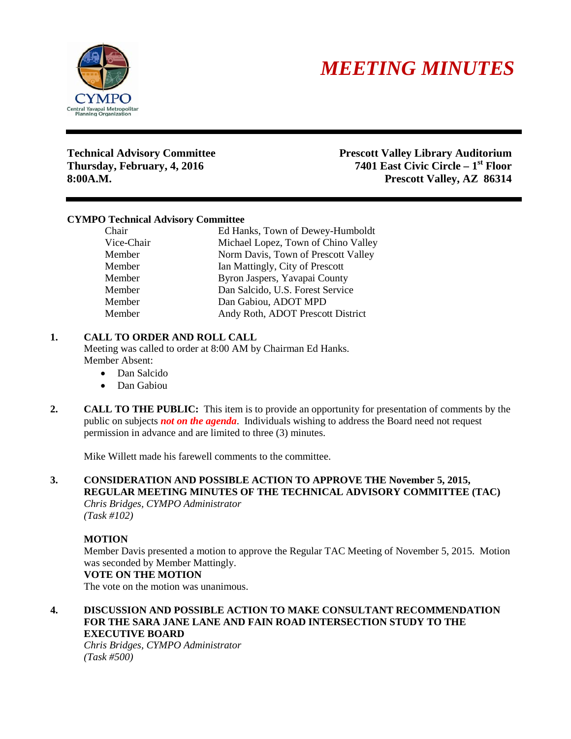



**Technical Advisory Committee Prescott Valley Library Auditorium Thursday, February, 4, 2016 7401 East Civic Circle – 1st Floor 8:00A.M. Prescott Valley, AZ 86314**

### **CYMPO Technical Advisory Committee**

Chair Ed Hanks, Town of Dewey-Humboldt Vice-Chair Michael Lopez, Town of Chino Valley Member Norm Davis, Town of Prescott Valley Member Ian Mattingly, City of Prescott Member Byron Jaspers, Yavapai County Member Dan Salcido, U.S. Forest Service Member Dan Gabiou, ADOT MPD Member Andy Roth, ADOT Prescott District

### **1. CALL TO ORDER AND ROLL CALL**

Meeting was called to order at 8:00 AM by Chairman Ed Hanks. Member Absent:

- Dan Salcido
- Dan Gabiou
- **2. CALL TO THE PUBLIC:** This item is to provide an opportunity for presentation of comments by the public on subjects *not on the agenda*. Individuals wishing to address the Board need not request permission in advance and are limited to three (3) minutes.

Mike Willett made his farewell comments to the committee.

# **3. CONSIDERATION AND POSSIBLE ACTION TO APPROVE THE November 5, 2015, REGULAR MEETING MINUTES OF THE TECHNICAL ADVISORY COMMITTEE (TAC)**

*Chris Bridges, CYMPO Administrator (Task #102)*

### **MOTION**

Member Davis presented a motion to approve the Regular TAC Meeting of November 5, 2015. Motion was seconded by Member Mattingly.

#### **VOTE ON THE MOTION**

The vote on the motion was unanimous.

**4. DISCUSSION AND POSSIBLE ACTION TO MAKE CONSULTANT RECOMMENDATION FOR THE SARA JANE LANE AND FAIN ROAD INTERSECTION STUDY TO THE EXECUTIVE BOARD**

*Chris Bridges, CYMPO Administrator (Task #500)*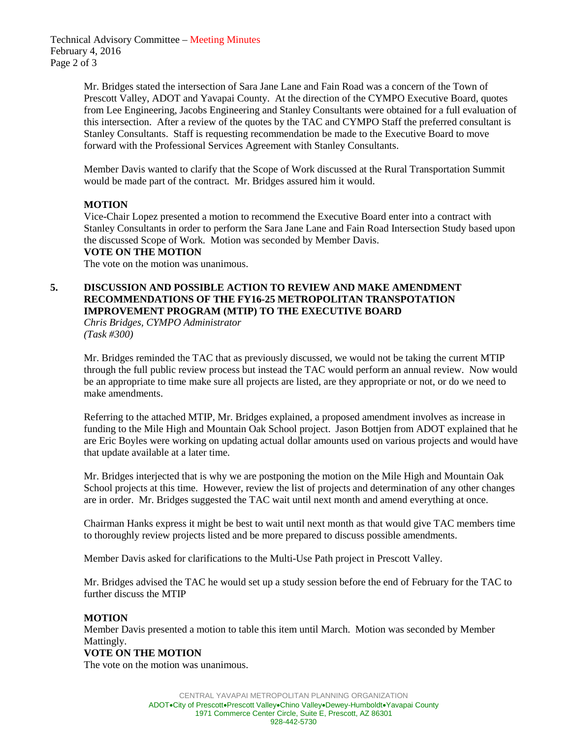Technical Advisory Committee – Meeting Minutes February 4, 2016 Page 2 of 3

> Mr. Bridges stated the intersection of Sara Jane Lane and Fain Road was a concern of the Town of Prescott Valley, ADOT and Yavapai County. At the direction of the CYMPO Executive Board, quotes from Lee Engineering, Jacobs Engineering and Stanley Consultants were obtained for a full evaluation of this intersection. After a review of the quotes by the TAC and CYMPO Staff the preferred consultant is Stanley Consultants. Staff is requesting recommendation be made to the Executive Board to move forward with the Professional Services Agreement with Stanley Consultants.

Member Davis wanted to clarify that the Scope of Work discussed at the Rural Transportation Summit would be made part of the contract. Mr. Bridges assured him it would.

# **MOTION**

Vice-Chair Lopez presented a motion to recommend the Executive Board enter into a contract with Stanley Consultants in order to perform the Sara Jane Lane and Fain Road Intersection Study based upon the discussed Scope of Work. Motion was seconded by Member Davis.

#### **VOTE ON THE MOTION**

The vote on the motion was unanimous.

# **5. DISCUSSION AND POSSIBLE ACTION TO REVIEW AND MAKE AMENDMENT RECOMMENDATIONS OF THE FY16-25 METROPOLITAN TRANSPOTATION IMPROVEMENT PROGRAM (MTIP) TO THE EXECUTIVE BOARD**

*Chris Bridges, CYMPO Administrator (Task #300)*

Mr. Bridges reminded the TAC that as previously discussed, we would not be taking the current MTIP through the full public review process but instead the TAC would perform an annual review. Now would be an appropriate to time make sure all projects are listed, are they appropriate or not, or do we need to make amendments.

Referring to the attached MTIP, Mr. Bridges explained, a proposed amendment involves as increase in funding to the Mile High and Mountain Oak School project. Jason Bottjen from ADOT explained that he are Eric Boyles were working on updating actual dollar amounts used on various projects and would have that update available at a later time.

Mr. Bridges interjected that is why we are postponing the motion on the Mile High and Mountain Oak School projects at this time. However, review the list of projects and determination of any other changes are in order. Mr. Bridges suggested the TAC wait until next month and amend everything at once.

Chairman Hanks express it might be best to wait until next month as that would give TAC members time to thoroughly review projects listed and be more prepared to discuss possible amendments.

Member Davis asked for clarifications to the Multi-Use Path project in Prescott Valley.

Mr. Bridges advised the TAC he would set up a study session before the end of February for the TAC to further discuss the MTIP

### **MOTION**

Member Davis presented a motion to table this item until March. Motion was seconded by Member Mattingly.

### **VOTE ON THE MOTION**

The vote on the motion was unanimous.